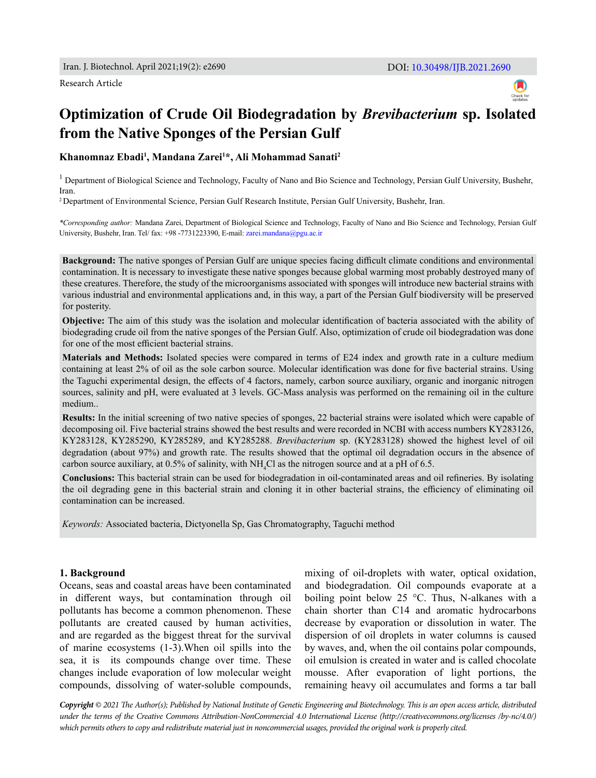Research Article



# **Optimization of Crude Oil Biodegradation by** *Brevibacterium* **sp. Isolated from the Native Sponges of the Persian Gulf**

**Khanomnaz Ebadi1 , Mandana Zarei1 \*, Ali Mohammad Sanati2**

 $^1$  Department of Biological Science and Technology, Faculty of Nano and Bio Science and Technology, Persian Gulf University, Bushehr, Iran.

2 Department of Environmental Science, Persian Gulf Research Institute, Persian Gulf University, Bushehr, Iran.

*\*Corresponding author:* Mandana Zarei, Department of Biological Science and Technology, Faculty of Nano and Bio Science and Technology, Persian Gulf University, Bushehr, Iran. Tel/ fax: +98 -7731223390, E-mail: [zarei.mandana@pgu.ac.ir](mailto:zarei.mandana%40pgu.ac.ir?subject=)

**Background:** The native sponges of Persian Gulf are unique species facing difficult climate conditions and environmental contamination. It is necessary to investigate these native sponges because global warming most probably destroyed many of these creatures. Therefore, the study of the microorganisms associated with sponges will introduce new bacterial strains with various industrial and environmental applications and, in this way, a part of the Persian Gulf biodiversity will be preserved for posterity.

**Objective:** The aim of this study was the isolation and molecular identification of bacteria associated with the ability of biodegrading crude oil from the native sponges of the Persian Gulf. Also, optimization of crude oil biodegradation was done for one of the most efficient bacterial strains.

**Materials and Methods:** Isolated species were compared in terms of E24 index and growth rate in a culture medium containing at least 2% of oil as the sole carbon source. Molecular identification was done for five bacterial strains. Using the Taguchi experimental design, the effects of 4 factors, namely, carbon source auxiliary, organic and inorganic nitrogen sources, salinity and pH, were evaluated at 3 levels. GC-Mass analysis was performed on the remaining oil in the culture medium..

**Results:** In the initial screening of two native species of sponges, 22 bacterial strains were isolated which were capable of decomposing oil. Five bacterial strains showed the best results and were recorded in NCBI with access numbers KY283126, KY283128, KY285290, KY285289, and KY285288. *Brevibacterium* sp. (KY283128) showed the highest level of oil degradation (about 97%) and growth rate. The results showed that the optimal oil degradation occurs in the absence of carbon source auxiliary, at 0.5% of salinity, with  $NH_4Cl$  as the nitrogen source and at a pH of 6.5.

**Conclusions:** This bacterial strain can be used for biodegradation in oil-contaminated areas and oil refineries. By isolating the oil degrading gene in this bacterial strain and cloning it in other bacterial strains, the efficiency of eliminating oil contamination can be increased.

*Keywords:* Associated bacteria, Dictyonella Sp, Gas Chromatography, Taguchi method

## **1. Background**

Oceans, seas and coastal areas have been contaminated in different ways, but contamination through oil pollutants has become a common phenomenon. These pollutants are created caused by human activities, and are regarded as the biggest threat for the survival of marine ecosystems (1-3).When oil spills into the sea, it is its compounds change over time. These changes include evaporation of low molecular weight compounds, dissolving of water-soluble compounds,

mixing of oil-droplets with water, optical oxidation, and biodegradation. Oil compounds evaporate at a boiling point below 25 °C. Thus, N-alkanes with a chain shorter than C14 and aromatic hydrocarbons decrease by evaporation or dissolution in water. The dispersion of oil droplets in water columns is caused by waves, and, when the oil contains polar compounds, oil emulsion is created in water and is called chocolate mousse. After evaporation of light portions, the remaining heavy oil accumulates and forms a tar ball

*Copyright © 2021 The Author(s); Published by National Institute of Genetic Engineering and Biotechnology. This is an open access article, distributed under the terms of the Creative Commons Attribution-NonCommercial 4.0 International License (http://creativecommons.org/licenses /by-nc/4.0/) which permits others to copy and redistribute material just in noncommercial usages, provided the original work is properly cited.*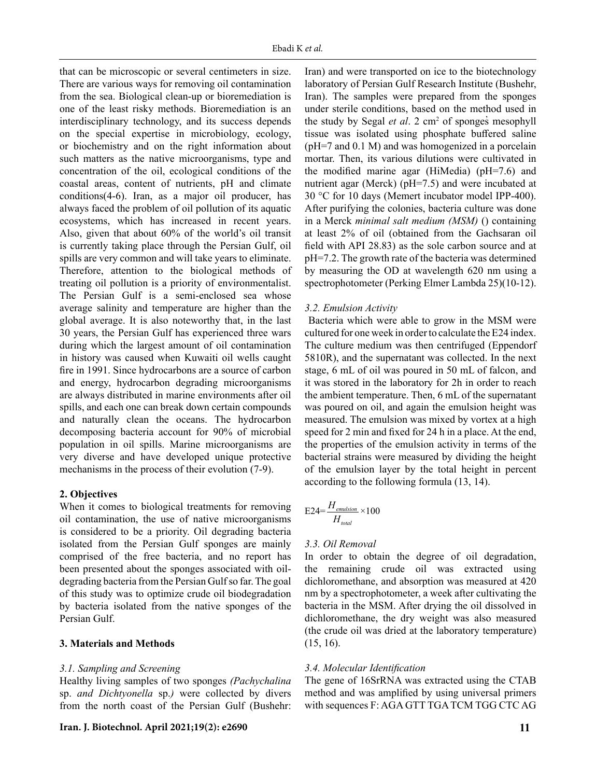that can be microscopic or several centimeters in size. There are various ways for removing oil contamination from the sea. Biological clean-up or bioremediation is one of the least risky methods. Bioremediation is an interdisciplinary technology, and its success depends on the special expertise in microbiology, ecology, or biochemistry and on the right information about such matters as the native microorganisms, type and concentration of the oil, ecological conditions of the coastal areas, content of nutrients, pH and climate conditions(4-6). Iran, as a major oil producer, has always faced the problem of oil pollution of its aquatic ecosystems, which has increased in recent years. Also, given that about 60% of the world's oil transit is currently taking place through the Persian Gulf, oil spills are very common and will take years to eliminate. Therefore, attention to the biological methods of treating oil pollution is a priority of environmentalist. The Persian Gulf is a semi-enclosed sea whose average salinity and temperature are higher than the global average. It is also noteworthy that, in the last 30 years, the Persian Gulf has experienced three wars during which the largest amount of oil contamination in history was caused when Kuwaiti oil wells caught fire in 1991. Since hydrocarbons are a source of carbon and energy, hydrocarbon degrading microorganisms are always distributed in marine environments after oil spills, and each one can break down certain compounds and naturally clean the oceans. The hydrocarbon decomposing bacteria account for 90% of microbial population in oil spills. Marine microorganisms are very diverse and have developed unique protective mechanisms in the process of their evolution (7-9).

# **2. Objectives**

When it comes to biological treatments for removing oil contamination, the use of native microorganisms is considered to be a priority. Oil degrading bacteria isolated from the Persian Gulf sponges are mainly comprised of the free bacteria, and no report has been presented about the sponges associated with oildegrading bacteria from the Persian Gulf so far. The goal of this study was to optimize crude oil biodegradation by bacteria isolated from the native sponges of the Persian Gulf.

## **3. Materials and Methods**

## *3.1. Sampling and Screening*

Healthy living samples of two sponges *(Pachychalina*  sp. *and Dichtyonella* sp.*)* were collected by divers from the north coast of the Persian Gulf (Bushehr:

Iran) and were transported on ice to the biotechnology laboratory of Persian Gulf Research Institute (Bushehr, Iran). The samples were prepared from the sponges under sterile conditions, based on the method used in the study by Segal et al. 2 cm<sup>2</sup> of sponges mesophyll tissue was isolated using phosphate buffered saline (pH=7 and 0.1 M) and was homogenized in a porcelain mortar. Then, its various dilutions were cultivated in the modified marine agar (HiMedia) (pH=7.6) and nutrient agar (Merck) (pH=7.5) and were incubated at 30 °C for 10 days (Memert incubator model IPP-400). After purifying the colonies, bacteria culture was done in a Merck *minimal salt medium (MSM)* () containing at least 2% of oil (obtained from the Gachsaran oil field with API 28.83) as the sole carbon source and at pH=7.2. The growth rate of the bacteria was determined by measuring the OD at wavelength 620 nm using a spectrophotometer (Perking Elmer Lambda 25)(10-12).

## *3.2. Emulsion Activity*

 Bacteria which were able to grow in the MSM were cultured for one week in order to calculate the E24 index. The culture medium was then centrifuged (Eppendorf 5810R), and the supernatant was collected. In the next stage, 6 mL of oil was poured in 50 mL of falcon, and it was stored in the laboratory for 2h in order to reach the ambient temperature. Then, 6 mL of the supernatant was poured on oil, and again the emulsion height was measured. The emulsion was mixed by vortex at a high speed for 2 min and fixed for 24 h in a place. At the end, the properties of the emulsion activity in terms of the bacterial strains were measured by dividing the height of the emulsion layer by the total height in percent according to the following formula (13, 14).

$$
E24 = \frac{H_{emulsion}}{H_{total}} \times 100
$$

## *3.3. Oil Removal*

In order to obtain the degree of oil degradation, the remaining crude oil was extracted using dichloromethane, and absorption was measured at 420 nm by a spectrophotometer, a week after cultivating the bacteria in the MSM. After drying the oil dissolved in dichloromethane, the dry weight was also measured (the crude oil was dried at the laboratory temperature) (15, 16).

## *3.4. Molecular Identification*

The gene of 16SrRNA was extracted using the CTAB method and was amplified by using universal primers with sequences F: AGA GTT TGA TCM TGG CTC AG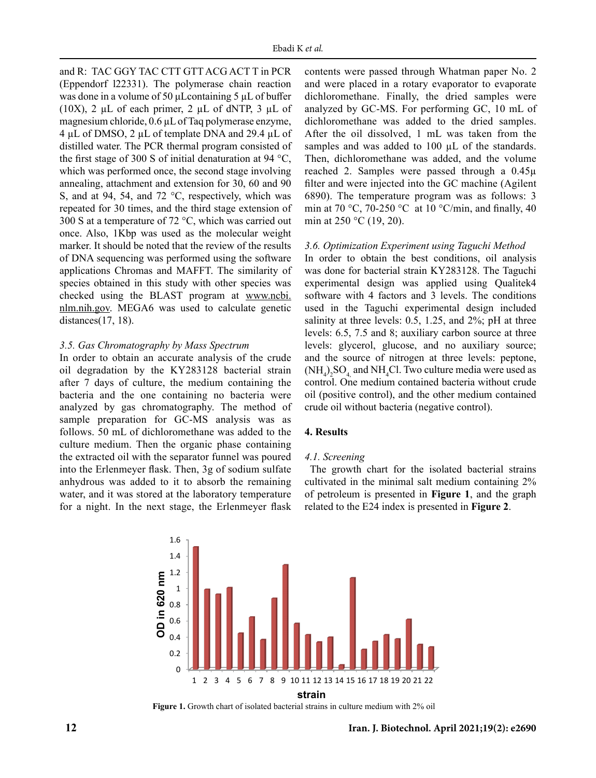and R: TAC GGY TAC CTT GTT ACG ACT T in PCR (Eppendorf l22331). The polymerase chain reaction was done in a volume of 50 μLcontaining 5 µL of buffer (10X), 2  $\mu$ L of each primer, 2  $\mu$ L of dNTP, 3  $\mu$ L of magnesium chloride, 0.6 µL of Taq polymerase enzyme, 4 µL of DMSO, 2 µL of template DNA and 29.4 µL of distilled water. The PCR thermal program consisted of the first stage of 300 S of initial denaturation at 94 °C, which was performed once, the second stage involving annealing, attachment and extension for 30, 60 and 90 S, and at 94, 54, and 72 °C, respectively, which was repeated for 30 times, and the third stage extension of 300 S at a temperature of 72 °C, which was carried out once. Also, 1Kbp was used as the molecular weight marker. It should be noted that the review of the results of DNA sequencing was performed using the software applications Chromas and MAFFT. The similarity of species obtained in this study with other species was checked using the BLAST program at www.ncbi. nlm.nih.gov. MEGA6 was used to calculate genetic distances(17, 18).

## *3.5. Gas Chromatography by Mass Spectrum*

In order to obtain an accurate analysis of the crude oil degradation by the KY283128 bacterial strain after 7 days of culture, the medium containing the bacteria and the one containing no bacteria were analyzed by gas chromatography. The method of sample preparation for GC-MS analysis was as follows. 50 mL of dichloromethane was added to the culture medium. Then the organic phase containing the extracted oil with the separator funnel was poured into the Erlenmeyer flask. Then, 3g of sodium sulfate anhydrous was added to it to absorb the remaining water, and it was stored at the laboratory temperature for a night. In the next stage, the Erlenmeyer flask

contents were passed through Whatman paper No. 2 and were placed in a rotary evaporator to evaporate dichloromethane. Finally, the dried samples were analyzed by GC-MS. For performing GC, 10 mL of dichloromethane was added to the dried samples. After the oil dissolved, 1 mL was taken from the samples and was added to 100 µL of the standards. Then, dichloromethane was added, and the volume reached 2. Samples were passed through a 0.45µ filter and were injected into the GC machine (Agilent 6890). The temperature program was as follows: 3 min at 70 °C, 70-250 °C at 10 °C/min, and finally, 40 min at 250 °C (19, 20).

## *3.6. Optimization Experiment using Taguchi Method*

In order to obtain the best conditions, oil analysis was done for bacterial strain KY283128. The Taguchi experimental design was applied using Qualitek4 software with 4 factors and 3 levels. The conditions used in the Taguchi experimental design included salinity at three levels: 0.5, 1.25, and 2%; pH at three levels: 6.5, 7.5 and 8; auxiliary carbon source at three levels: glycerol, glucose, and no auxiliary source; and the source of nitrogen at three levels: peptone,  $(NH_4)_2SO_4$  and NH<sub>4</sub>Cl. Two culture media were used as control. One medium contained bacteria without crude oil (positive control), and the other medium contained crude oil without bacteria (negative control).

## **4. Results**

#### *4.1. Screening*

 The growth chart for the isolated bacterial strains cultivated in the minimal salt medium containing 2% of petroleum is presented in **Figure 1**, and the graph related to the E24 index is presented in **Figure 2**.



**Figure 1.** Growth chart of isolated bacterial strains in culture medium with 2% oil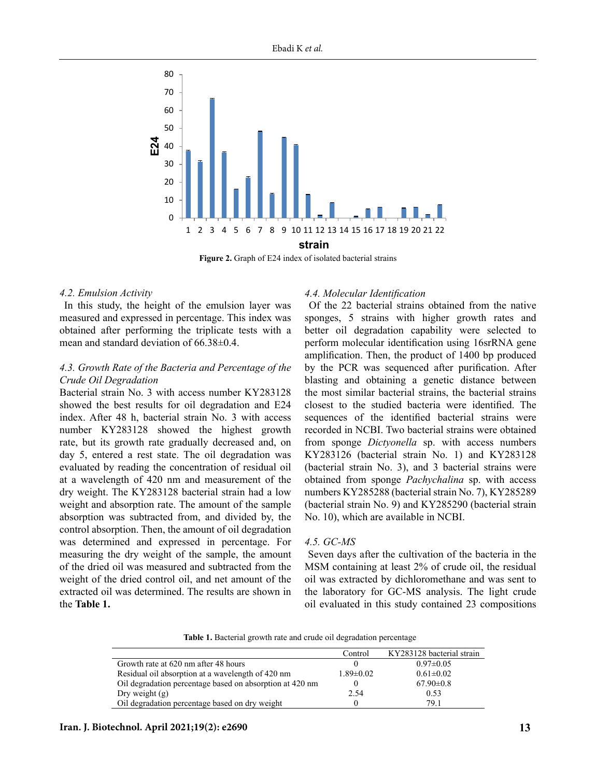

## *4.2. Emulsion Activity*

 In this study, the height of the emulsion layer was measured and expressed in percentage. This index was obtained after performing the triplicate tests with a mean and standard deviation of 66.38±0.4.

## *4.3. Growth Rate of the Bacteria and Percentage of the Crude Oil Degradation*

Bacterial strain No. 3 with access number KY283128 showed the best results for oil degradation and E24 index. After 48 h, bacterial strain No. 3 with access number KY283128 showed the highest growth rate, but its growth rate gradually decreased and, on day 5, entered a rest state. The oil degradation was evaluated by reading the concentration of residual oil at a wavelength of 420 nm and measurement of the dry weight. The KY283128 bacterial strain had a low weight and absorption rate. The amount of the sample absorption was subtracted from, and divided by, the control absorption. Then, the amount of oil degradation was determined and expressed in percentage. For measuring the dry weight of the sample, the amount of the dried oil was measured and subtracted from the weight of the dried control oil, and net amount of the extracted oil was determined. The results are shown in the **Table 1.**

## *4.4. Molecular Identification*

 Of the 22 bacterial strains obtained from the native sponges, 5 strains with higher growth rates and better oil degradation capability were selected to perform molecular identification using 16srRNA gene amplification. Then, the product of 1400 bp produced by the PCR was sequenced after purification. After blasting and obtaining a genetic distance between the most similar bacterial strains, the bacterial strains closest to the studied bacteria were identified. The sequences of the identified bacterial strains were recorded in NCBI. Two bacterial strains were obtained from sponge *Dictyonella* sp. with access numbers KY283126 (bacterial strain No. 1) and KY283128 (bacterial strain No. 3), and 3 bacterial strains were obtained from sponge *Pachychalina* sp. with access numbers KY285288 (bacterial strain No. 7), KY285289 (bacterial strain No. 9) and KY285290 (bacterial strain No. 10), which are available in NCBI.

## *4.5. GC-MS*

 Seven days after the cultivation of the bacteria in the MSM containing at least 2% of crude oil, the residual oil was extracted by dichloromethane and was sent to the laboratory for GC-MS analysis. The light crude oil evaluated in this study contained 23 compositions

Table 1. Bacterial growth rate and crude oil degradation percentage **Table 1.** Bacterial growth rate and crude oil degradation percentage

|                                                          | Control         | KY283128 bacterial strain |
|----------------------------------------------------------|-----------------|---------------------------|
| Growth rate at 620 nm after 48 hours                     |                 | $0.97 \pm 0.05$           |
| Residual oil absorption at a wavelength of 420 nm        | $1.89 \pm 0.02$ | $0.61 \pm 0.02$           |
| Oil degradation percentage based on absorption at 420 nm |                 | $67.90 \pm 0.8$           |
| Dry weight $(g)$                                         | 2.54            | 0.53                      |
| Oil degradation percentage based on dry weight           |                 | 79.1                      |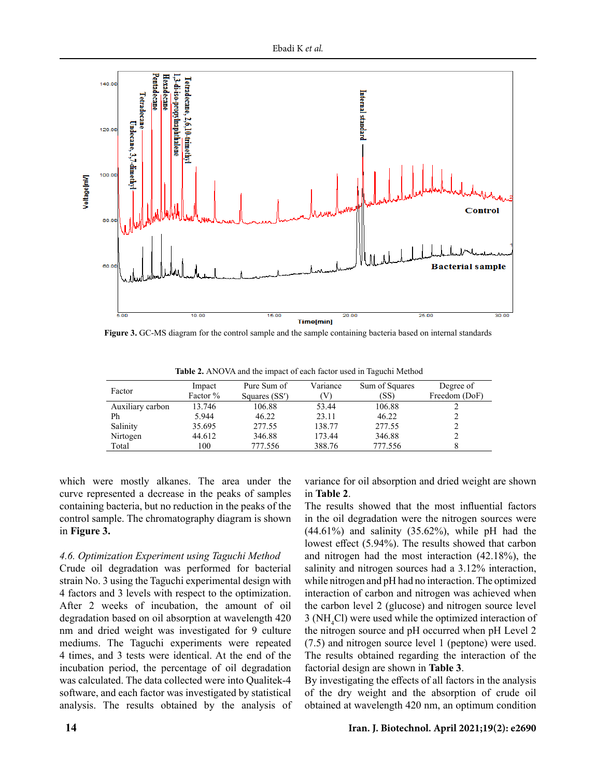

**Figure 3.** GC-MS diagram for the control sample and the sample containing bacteria based on internal standards

| Factor           | Impact   | Pure Sum of   | Variance | Sum of Squares | Degree of     |
|------------------|----------|---------------|----------|----------------|---------------|
|                  | Factor % | Squares (SS') | V        | (SS)           | Freedom (DoF) |
| Auxiliary carbon | 13.746   | 106.88        | 53.44    | 106.88         |               |
| Ph               | 5.944    | 46.22         | 23.11    | 46.22          |               |
| Salinity         | 35.695   | 277.55        | 138.77   | 277.55         |               |
| Nirtogen         | 44.612   | 346.88        | 173.44   | 346.88         |               |
| Total            | 100      | 777.556       | 388.76   | 777.556        |               |
|                  |          |               |          |                |               |

Table 2. ANOVA and the impact of each factor used in Taguchi Method

which were mostly alkanes. The area under the curve represented a decrease in the peaks of samples containing bacteria, but no reduction in the peaks of the control sample. The chromatography diagram is shown in **Figure 3.**

# *4.6. Optimization Experiment using Taguchi Method*

Crude oil degradation was performed for bacterial strain No. 3 using the Taguchi experimental design with 4 factors and 3 levels with respect to the optimization. After 2 weeks of incubation, the amount of oil degradation based on oil absorption at wavelength 420 nm and dried weight was investigated for 9 culture mediums. The Taguchi experiments were repeated 4 times, and 3 tests were identical. At the end of the incubation period, the percentage of oil degradation was calculated. The data collected were into Qualitek-4 software, and each factor was investigated by statistical analysis. The results obtained by the analysis of variance for oil absorption and dried weight are shown in **Table 2**.

The results showed that the most influential factors in the oil degradation were the nitrogen sources were  $(44.61\%)$  and salinity  $(35.62\%)$ , while pH had the lowest effect (5.94%). The results showed that carbon and nitrogen had the most interaction (42.18%), the salinity and nitrogen sources had a 3.12% interaction, while nitrogen and pH had no interaction. The optimized interaction of carbon and nitrogen was achieved when the carbon level 2 (glucose) and nitrogen source level 3 (NH4 Cl) were used while the optimized interaction of the nitrogen source and pH occurred when pH Level 2 (7.5) and nitrogen source level 1 (peptone) were used. The results obtained regarding the interaction of the factorial design are shown in **Table 3**.

By investigating the effects of all factors in the analysis of the dry weight and the absorption of crude oil obtained at wavelength 420 nm, an optimum condition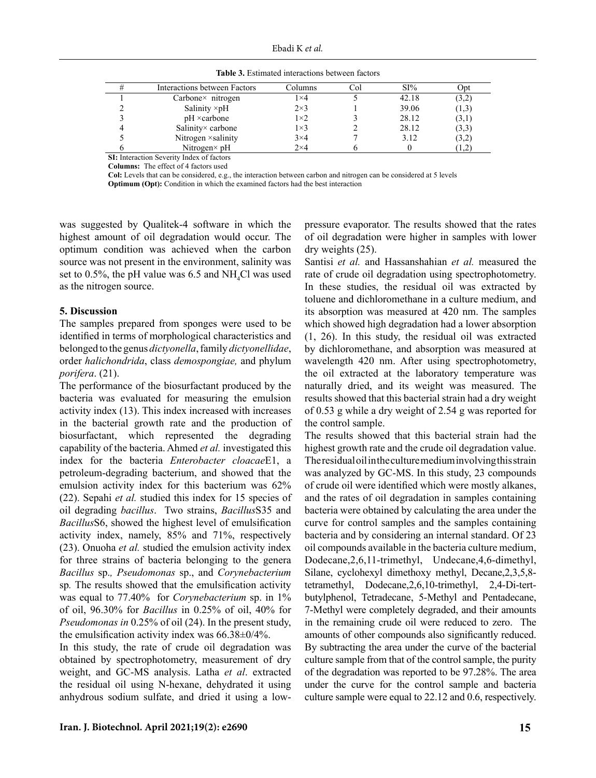| Interactions between Factors | Columns     | Col | SI%   | Opt   |
|------------------------------|-------------|-----|-------|-------|
| $Carbone \times nitrogen$    | 1×4         |     | 42.18 | (3,2) |
| Salinity $\times pH$         | $2\times3$  |     | 39.06 | (1,3) |
| $pH \times$ carbone          | $1\times 2$ |     | 28.12 | (3,1) |
| Salinity× carbone            | $1\times 3$ |     | 28.12 | (3,3) |
| Nitrogen × salinity          | $3\times4$  |     | 3.12  | (3,2) |
| Nitrogen $\times$ pH         | $2\times4$  |     |       | 1,2   |

Table 3. Estimated interactions between factors **Table 3.** Estimated interactions between factors

**SI:** Interaction Severity Index of factors

**Columns:** The effect of 4 factors used

**Col:** Levels that can be considered, e.g., the interaction between carbon and nitrogen can be considered at 5 levels **Optimum (Opt):** Condition in which the examined factors had the best interaction

was suggested by Qualitek-4 software in which the highest amount of oil degradation would occur. The optimum condition was achieved when the carbon source was not present in the environment, salinity was set to 0.5%, the pH value was 6.5 and  $NH<sub>4</sub>Cl$  was used as the nitrogen source.

## **5. Discussion**

The samples prepared from sponges were used to be identified in terms of morphological characteristics and belonged to the genus *dictyonella*, family *dictyonellidae*, order *halichondrida*, class *demospongiae,* and phylum *porifera*. (21).

The performance of the biosurfactant produced by the bacteria was evaluated for measuring the emulsion activity index (13). This index increased with increases in the bacterial growth rate and the production of biosurfactant, which represented the degrading capability of the bacteria. Ahmed *et al.* investigated this index for the bacteria *Enterobacter cloacae*E1, a petroleum-degrading bacterium, and showed that the emulsion activity index for this bacterium was 62% (22). Sepahi *et al.* studied this index for 15 species of oil degrading *bacillus*. Two strains, *Bacillus*S35 and *Bacillus*S6, showed the highest level of emulsification activity index, namely, 85% and 71%, respectively (23). Onuoha *et al.* studied the emulsion activity index for three strains of bacteria belonging to the genera *Bacillus* sp.*, Pseudomonas* sp., and *Corynebacterium*  sp*.* The results showed that the emulsification activity was equal to 77.40% for *Corynebacterium* sp. in 1% of oil, 96.30% for *Bacillus* in 0.25% of oil, 40% for *Pseudomonas in* 0.25% of oil (24). In the present study, the emulsification activity index was 66.38±0/4%.

In this study, the rate of crude oil degradation was obtained by spectrophotometry, measurement of dry weight, and GC-MS analysis. Latha *et al*. extracted the residual oil using N-hexane, dehydrated it using anhydrous sodium sulfate, and dried it using a lowpressure evaporator. The results showed that the rates of oil degradation were higher in samples with lower dry weights (25).

Santisi *et al.* and Hassanshahian *et al.* measured the rate of crude oil degradation using spectrophotometry. In these studies, the residual oil was extracted by toluene and dichloromethane in a culture medium, and its absorption was measured at 420 nm. The samples which showed high degradation had a lower absorption (1, 26). In this study, the residual oil was extracted by dichloromethane, and absorption was measured at wavelength 420 nm. After using spectrophotometry, the oil extracted at the laboratory temperature was naturally dried, and its weight was measured. The results showed that this bacterial strain had a dry weight of 0.53 g while a dry weight of 2.54 g was reported for the control sample.

The results showed that this bacterial strain had the highest growth rate and the crude oil degradation value. The residual oil in the culture medium involving this strain was analyzed by GC-MS. In this study, 23 compounds of crude oil were identified which were mostly alkanes, and the rates of oil degradation in samples containing bacteria were obtained by calculating the area under the curve for control samples and the samples containing bacteria and by considering an internal standard. Of 23 oil compounds available in the bacteria culture medium, Dodecane,2,6,11-trimethyl, Undecane,4,6-dimethyl, Silane, cyclohexyl dimethoxy methyl, Decane,2,3,5,8 tetramethyl, Dodecane,2,6,10-trimethyl, 2,4-Di-tertbutylphenol, Tetradecane, 5-Methyl and Pentadecane, 7-Methyl were completely degraded, and their amounts in the remaining crude oil were reduced to zero. The amounts of other compounds also significantly reduced. By subtracting the area under the curve of the bacterial culture sample from that of the control sample, the purity of the degradation was reported to be 97.28%. The area under the curve for the control sample and bacteria culture sample were equal to 22.12 and 0.6, respectively.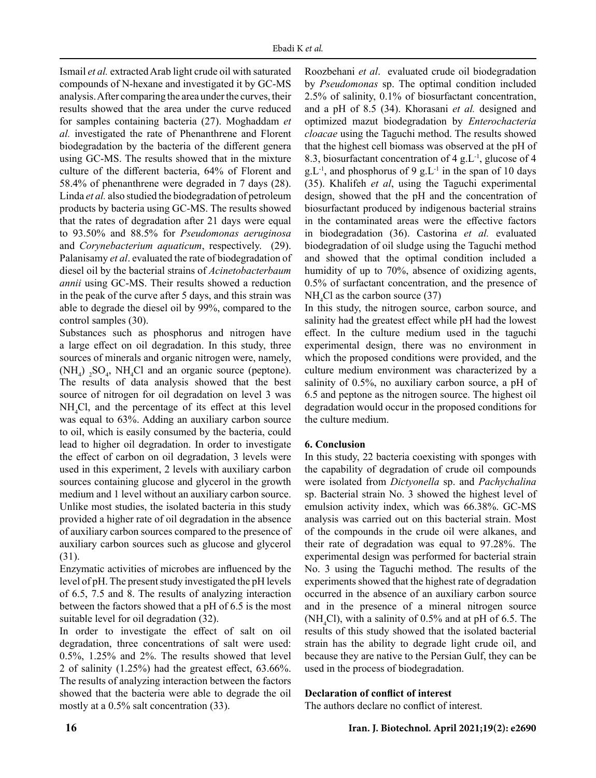Ismail *et al.* extracted Arab light crude oil with saturated compounds of N-hexane and investigated it by GC-MS analysis. After comparing the area under the curves, their results showed that the area under the curve reduced for samples containing bacteria (27). Moghaddam *et al.* investigated the rate of Phenanthrene and Florent biodegradation by the bacteria of the different genera using GC-MS. The results showed that in the mixture culture of the different bacteria, 64% of Florent and 58.4% of phenanthrene were degraded in 7 days (28). Linda *et al.* also studied the biodegradation of petroleum products by bacteria using GC-MS. The results showed that the rates of degradation after 21 days were equal to 93.50% and 88.5% for *Pseudomonas aeruginosa* and *Corynebacterium aquaticum*, respectively. (29). Palanisamy *et al*. evaluated the rate of biodegradation of diesel oil by the bacterial strains of *Acinetobacterbaum annii* using GC-MS. Their results showed a reduction in the peak of the curve after 5 days, and this strain was able to degrade the diesel oil by 99%, compared to the control samples (30).

Substances such as phosphorus and nitrogen have a large effect on oil degradation. In this study, three sources of minerals and organic nitrogen were, namely,  $(NH_4)$  <sub>2</sub>SO<sub>4</sub>, NH<sub>4</sub>Cl and an organic source (peptone). The results of data analysis showed that the best source of nitrogen for oil degradation on level 3 was NH4 Cl, and the percentage of its effect at this level was equal to 63%. Adding an auxiliary carbon source to oil, which is easily consumed by the bacteria, could lead to higher oil degradation. In order to investigate the effect of carbon on oil degradation, 3 levels were used in this experiment, 2 levels with auxiliary carbon sources containing glucose and glycerol in the growth medium and 1 level without an auxiliary carbon source. Unlike most studies, the isolated bacteria in this study provided a higher rate of oil degradation in the absence of auxiliary carbon sources compared to the presence of auxiliary carbon sources such as glucose and glycerol (31).

Enzymatic activities of microbes are influenced by the level of pH. The present study investigated the pH levels of 6.5, 7.5 and 8. The results of analyzing interaction between the factors showed that a pH of 6.5 is the most suitable level for oil degradation (32).

In order to investigate the effect of salt on oil degradation, three concentrations of salt were used: 0.5%, 1.25% and 2%. The results showed that level 2 of salinity (1.25%) had the greatest effect, 63.66%. The results of analyzing interaction between the factors showed that the bacteria were able to degrade the oil mostly at a 0.5% salt concentration (33).

Roozbehani *et al*. evaluated crude oil biodegradation by *Pseudomonas* sp. The optimal condition included 2.5% of salinity, 0.1% of biosurfactant concentration, and a pH of 8.5 (34). Khorasani *et al.* designed and optimized mazut biodegradation by *Enterochacteria cloacae* using the Taguchi method. The results showed that the highest cell biomass was observed at the pH of 8.3, biosurfactant concentration of  $4 \text{ g.L}^{-1}$ , glucose of  $4 \text{ g.t.}$ g.  $L^{-1}$ , and phosphorus of 9 g.  $L^{-1}$  in the span of 10 days (35). Khalifeh *et al*, using the Taguchi experimental design, showed that the pH and the concentration of biosurfactant produced by indigenous bacterial strains in the contaminated areas were the effective factors in biodegradation (36). Castorina *et al.* evaluated biodegradation of oil sludge using the Taguchi method and showed that the optimal condition included a humidity of up to 70%, absence of oxidizing agents, 0.5% of surfactant concentration, and the presence of  $NH<sub>4</sub>Cl$  as the carbon source (37)

In this study, the nitrogen source, carbon source, and salinity had the greatest effect while pH had the lowest effect. In the culture medium used in the taguchi experimental design, there was no environment in which the proposed conditions were provided, and the culture medium environment was characterized by a salinity of 0.5%, no auxiliary carbon source, a pH of 6.5 and peptone as the nitrogen source. The highest oil degradation would occur in the proposed conditions for the culture medium.

# **6. Conclusion**

In this study, 22 bacteria coexisting with sponges with the capability of degradation of crude oil compounds were isolated from *Dictyonella* sp. and *Pachychalina* sp. Bacterial strain No. 3 showed the highest level of emulsion activity index, which was 66.38%. GC-MS analysis was carried out on this bacterial strain. Most of the compounds in the crude oil were alkanes, and their rate of degradation was equal to 97.28%. The experimental design was performed for bacterial strain No. 3 using the Taguchi method. The results of the experiments showed that the highest rate of degradation occurred in the absence of an auxiliary carbon source and in the presence of a mineral nitrogen source (NH<sub>4</sub>Cl), with a salinity of 0.5% and at pH of 6.5. The results of this study showed that the isolated bacterial strain has the ability to degrade light crude oil, and because they are native to the Persian Gulf, they can be used in the process of biodegradation.

# **Declaration of conflict of interest**

The authors declare no conflict of interest.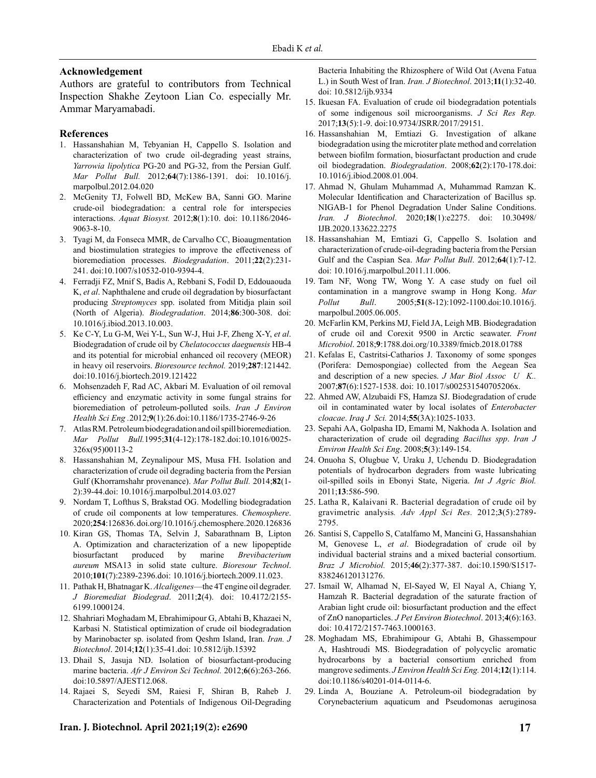### **Acknowledgement**

Authors are grateful to contributors from Technical Inspection Shakhe Zeytoon Lian Co. especially Mr. Ammar Maryamabadi.

#### **References**

- 1. Hassanshahian M, Tebyanian H, Cappello S. Isolation and characterization of two crude oil-degrading yeast strains, *Yarrowia lipolytica* PG-20 and PG-32, from the Persian Gulf. *Mar Pollut Bull.* 2012;**64**(7):1386-1391. doi: 10.1016/j. marpolbul.2012.04.020
- 2. McGenity TJ, Folwell BD, McKew BA, Sanni GO. Marine crude-oil biodegradation: a central role for interspecies interactions. *Aquat Biosyst.* 2012;**8**(1):10. doi: 10.1186/2046- 9063-8-10.
- 3. Tyagi M, da Fonseca MMR, de Carvalho CC, Bioaugmentation and biostimulation strategies to improve the effectiveness of bioremediation processes. *Biodegradation*. 2011;**22**(2):231- 241. doi:10.1007/s10532-010-9394-4.
- 4. Ferradji FZ, Mnif S, Badis A, Rebbani S, Fodil D, Eddouaouda K, *et al*. Naphthalene and crude oil degradation by biosurfactant producing *Streptomyces* spp. isolated from Mitidja plain soil (North of Algeria). *Biodegradation*. 2014;**86**:300-308. doi: 10.1016/j.ibiod.2013.10.003.
- 5. Ke C-Y, Lu G-M, Wei Y-L, Sun W-J, Hui J-F, Zheng X-Y, *et al*. Biodegradation of crude oil by *Chelatococcus daeguensis* HB-4 and its potential for microbial enhanced oil recovery (MEOR) in heavy oil reservoirs. *Bioresource technol.* 2019;**287**:121442. doi:10.1016/j.biortech.2019.121422
- 6. Mohsenzadeh F, Rad AC, Akbari M. Evaluation of oil removal efficiency and enzymatic activity in some fungal strains for bioremediation of petroleum-polluted soils. *Iran J Environ Health Sci Eng .*2012;**9**(1):26.doi:10.1186/1735-2746-9-26
- 7. Atlas RM. Petroleum biodegradation and oil spill bioremediation. *Mar Pollut Bull.*1995;**31**(4-12):178-182.doi:10.1016/0025- 326x(95)00113-2
- 8. Hassanshahian M, Zeynalipour MS, Musa FH. Isolation and characterization of crude oil degrading bacteria from the Persian Gulf (Khorramshahr provenance). *Mar Pollut Bull.* 2014;**82**(1- 2):39-44.doi: 10.1016/j.marpolbul.2014.03.027
- 9. Nordam T, Lofthus S, Brakstad OG. Modelling biodegradation of crude oil components at low temperatures. *Chemosphere*. 2020;**254**:126836. doi.org/10.1016/j.chemosphere.2020.126836
- 10. Kiran GS, Thomas TA, Selvin J, Sabarathnam B, Lipton A. Optimization and characterization of a new lipopeptide biosurfactant produced by marine *Brevibacterium aureum* MSA13 in solid state culture. *Bioresour Technol*. 2010;**101**(7):2389-2396.doi: 10.1016/j.biortech.2009.11.023.
- 11. Pathak H, Bhatnagar K. *Alcaligenes*—the 4T engine oil degrader. *J Bioremediat Biodegrad*. 2011;**2**(4). doi: 10.4172/2155- 6199.1000124.
- 12. Shahriari Moghadam M, Ebrahimipour G, Abtahi B, Khazaei N, Karbasi N. Statistical optimization of crude oil biodegradation by Marinobacter sp. isolated from Qeshm Island, Iran. *Iran. J Biotechnol*. 2014;**12**(1):35-41.doi: 10.5812/ijb.15392
- 13. Dhail S, Jasuja ND. Isolation of biosurfactant-producing marine bacteria. *Afr J Environ Sci Technol.* 2012;**6**(6):263-266. doi:10.5897/AJEST12.068.
- 14. Rajaei S, Seyedi SM, Raiesi F, Shiran B, Raheb J. Characterization and Potentials of Indigenous Oil-Degrading

## Bacteria Inhabiting the Rhizosphere of Wild Oat (Avena Fatua L.) in South West of Iran. *Iran. J Biotechnol*. 2013;**11**(1):32-40. doi: 10.5812/ijb.9334

- 15. Ikuesan FA. Evaluation of crude oil biodegradation potentials of some indigenous soil microorganisms. *J Sci Res Rep.*  2017;**13**(5):1-9. doi:10.9734/JSRR/2017/29151.
- 16. Hassanshahian M, Emtiazi G. Investigation of alkane biodegradation using the microtiter plate method and correlation between biofilm formation, biosurfactant production and crude oil biodegradation. *Biodegradation*. 2008;**62**(2):170-178.doi: 10.1016/j.ibiod.2008.01.004.
- 17. Ahmad N, Ghulam Muhammad A, Muhammad Ramzan K. Molecular Identification and Characterization of Bacillus sp. NIGAB-1 for Phenol Degradation Under Saline Conditions. *Iran. J Biotechnol*. 2020;**18**(1):e2275. doi: [10.30498/](https://dx.doi.org/10.30498%2FIJB.2020.133622.2275) [IJB.2020.133622.2275](https://dx.doi.org/10.30498%2FIJB.2020.133622.2275)
- 18. Hassanshahian M, Emtiazi G, Cappello S. Isolation and characterization of crude-oil-degrading bacteria from the Persian Gulf and the Caspian Sea. *Mar Pollut Bull*. 2012;**64**(1):7-12. doi: 10.1016/j.marpolbul.2011.11.006.
- 19. Tam NF, Wong TW, Wong Y. A case study on fuel oil contamination in a mangrove swamp in Hong Kong. *Mar Pollut Bull*. 2005;**51**(8-12):1092-1100.doi:10.1016/j. marpolbul.2005.06.005.
- 20. McFarlin KM, Perkins MJ, Field JA, Leigh MB. Biodegradation of crude oil and Corexit 9500 in Arctic seawater. *Front Microbiol*. 2018;**9**:1788[.doi.org/10.3389/fmicb.2018.01788](https://doi.org/10.3389/fmicb.2018.01788)
- 21. [Kefalas E, Castritsi-Catharios J. Taxonomy of some sponges](https://doi.org/10.3389/fmicb.2018.01788) [\(Porifera: Demospongiae\) collected from the Aegean Sea](https://doi.org/10.3389/fmicb.2018.01788) [and description of a new species.](https://doi.org/10.3389/fmicb.2018.01788) *J Mar Biol Assoc U K..* 2007;**87**[\(6\):1527-1538. doi: 10.1017/s002531540705206x.](https://doi.org/10.3389/fmicb.2018.01788)
- 22. [Ahmed AW, Alzubaidi FS, Hamza SJ. Biodegradation of crude](https://doi.org/10.3389/fmicb.2018.01788) [oil in contaminated water by local isolates of](https://doi.org/10.3389/fmicb.2018.01788) *Enterobacter cloacae*. *Iraq J Sci.* 2014;**55**[\(3A\):1025-1033.](https://doi.org/10.3389/fmicb.2018.01788)
- 23. [Sepahi AA, Golpasha ID, Emami M, Nakhoda A. Isolation and](https://doi.org/10.3389/fmicb.2018.01788) [characterization of crude oil degrading](https://doi.org/10.3389/fmicb.2018.01788) *Bacillus spp*. *Iran J [Environ Health Sci Eng](https://doi.org/10.3389/fmicb.2018.01788)*. 2008;**5**(3):149-154.
- 24. [Onuoha S, Olugbue V, Uraku J, Uchendu D. Biodegradation](https://doi.org/10.3389/fmicb.2018.01788) [potentials of hydrocarbon degraders from waste lubricating](https://doi.org/10.3389/fmicb.2018.01788) [oil-spilled soils in Ebonyi State, Nigeria.](https://doi.org/10.3389/fmicb.2018.01788) *Int J Agric Biol.*  2011;**13**[:586-590.](https://doi.org/10.3389/fmicb.2018.01788)
- 25. [Latha R, Kalaivani R. Bacterial degradation of crude oil by](https://doi.org/10.3389/fmicb.2018.01788) gravimetric analysis*[. Adv Appl Sci Res.](https://doi.org/10.3389/fmicb.2018.01788)* 2012;**3**(5):2789- [2795.](https://doi.org/10.3389/fmicb.2018.01788)
- 26. [Santisi S, Cappello S, Catalfamo M, Mancini G, Hassanshahian](https://doi.org/10.3389/fmicb.2018.01788) M, Genovese L, *et al*[. Biodegradation of crude oil by](https://doi.org/10.3389/fmicb.2018.01788) [individual bacterial strains and a mixed bacterial consortium.](https://doi.org/10.3389/fmicb.2018.01788) *Braz J Microbiol.* 2015;**46**[\(2\):377-387. doi:10.1590/S1517-](https://doi.org/10.3389/fmicb.2018.01788) [838246120131276.](https://doi.org/10.3389/fmicb.2018.01788)
- 27. [Ismail W, Alhamad N, El-Sayed W, El Nayal A, Chiang Y,](https://doi.org/10.3389/fmicb.2018.01788) [Hamzah R. Bacterial degradation of the saturate fraction of](https://doi.org/10.3389/fmicb.2018.01788) [Arabian light crude oil: biosurfactant production and the effect](https://doi.org/10.3389/fmicb.2018.01788) of ZnO nanoparticles. *[J Pet Environ Biotechnol](https://doi.org/10.3389/fmicb.2018.01788)*. 2013;**4**(6):163. [doi: 10.4172/2157-7463.1000163.](https://doi.org/10.3389/fmicb.2018.01788)
- 28. [Moghadam MS, Ebrahimipour G, Abtahi B, Ghassempour](https://doi.org/10.3389/fmicb.2018.01788) [A, Hashtroudi MS. Biodegradation of polycyclic aromatic](https://doi.org/10.3389/fmicb.2018.01788) [hydrocarbons by a bacterial consortium enriched from](https://doi.org/10.3389/fmicb.2018.01788) mangrove sediments. *[J Environ Health Sci Eng.](https://doi.org/10.3389/fmicb.2018.01788)* 2014;**12**(1):114. [doi:10.1186/s40201-014-0114-6.](https://doi.org/10.3389/fmicb.2018.01788)
- 29. [Linda A, Bouziane A. Petroleum-oil biodegradation by](https://doi.org/10.3389/fmicb.2018.01788) [Corynebacterium aquaticum and Pseudomonas aeruginosa](https://doi.org/10.3389/fmicb.2018.01788)

#### **Iran. J. Biotechnol. April 2021;19(2): e2690 17**